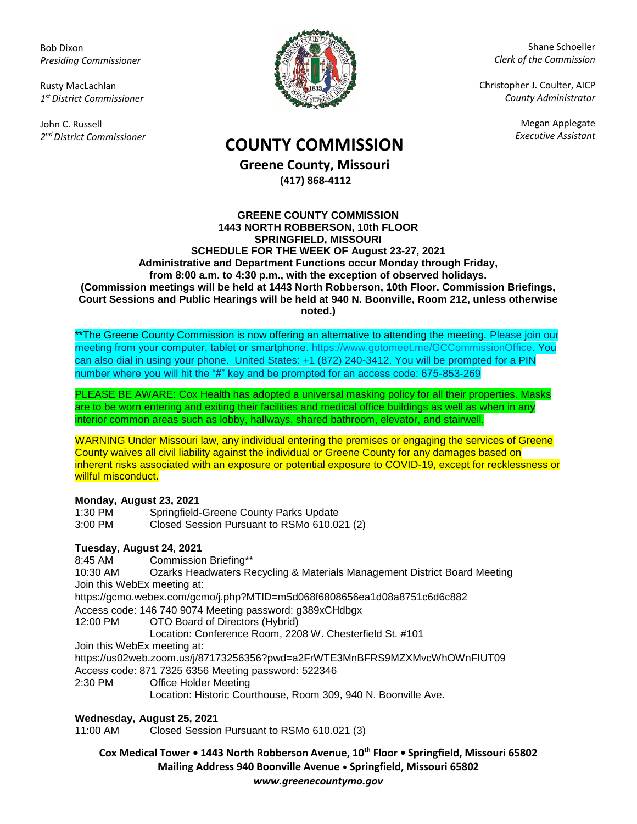Bob Dixon *Presiding Commissioner*

Rusty MacLachlan *1 st District Commissioner*

John C. Russell *2 nd District Commissioner*



Shane Schoeller *Clerk of the Commission*

Christopher J. Coulter, AICP *County Administrator*

Megan Applegate

# *Executive Assistant* **COUNTY COMMISSION**

**Greene County, Missouri (417) 868-4112**

#### **GREENE COUNTY COMMISSION 1443 NORTH ROBBERSON, 10th FLOOR SPRINGFIELD, MISSOURI SCHEDULE FOR THE WEEK OF August 23-27, 2021 Administrative and Department Functions occur Monday through Friday, from 8:00 a.m. to 4:30 p.m., with the exception of observed holidays. (Commission meetings will be held at 1443 North Robberson, 10th Floor. Commission Briefings, Court Sessions and Public Hearings will be held at 940 N. Boonville, Room 212, unless otherwise noted.)**

\*\*The Greene County Commission is now offering an alternative to attending the meeting. Please join our meeting from your computer, tablet or smartphone. [https://www.gotomeet.me/GCCommissionOffice.](https://www.gotomeet.me/GCCommissionOffice) You can also dial in using your phone. United States: +1 (872) 240-3412. You will be prompted for a PIN number where you will hit the "#" key and be prompted for an access code: 675-853-269

PLEASE BE AWARE: Cox Health has adopted a universal masking policy for all their properties. Masks are to be worn entering and exiting their facilities and medical office buildings as well as when in any interior common areas such as lobby, hallways, shared bathroom, elevator, and stairwell.

WARNING Under Missouri law, any individual entering the premises or engaging the services of Greene County waives all civil liability against the individual or Greene County for any damages based on inherent risks associated with an exposure or potential exposure to COVID-19, except for recklessness or willful misconduct.

## **Monday, August 23, 2021**

| 1:30 PM | Springfield-Greene County Parks Update      |
|---------|---------------------------------------------|
| 3:00 PM | Closed Session Pursuant to RSMo 610.021 (2) |

## **Tuesday, August 24, 2021**

8:45 AM Commission Briefing\*\*

10:30 AM Ozarks Headwaters Recycling & Materials Management District Board Meeting Join this WebEx meeting at:

https://gcmo.webex.com/gcmo/j.php?MTID=m5d068f6808656ea1d08a8751c6d6c882

Access code: 146 740 9074 Meeting password: g389xCHdbgx

12:00 PM OTO Board of Directors (Hybrid)

Location: Conference Room, 2208 W. Chesterfield St. #101

Join this WebEx meeting at:

https://us02web.zoom.us/j/87173256356?pwd=a2FrWTE3MnBFRS9MZXMvcWhOWnFIUT09

Access code: 871 7325 6356 Meeting password: 522346

2:30 PM Office Holder Meeting

Location: Historic Courthouse, Room 309, 940 N. Boonville Ave.

#### **Wednesday, August 25, 2021**

11:00 AM Closed Session Pursuant to RSMo 610.021 (3)

**Cox Medical Tower • 1443 North Robberson Avenue, 10th Floor • Springfield, Missouri 65802 Mailing Address 940 Boonville Avenue • Springfield, Missouri 65802** *www.greenecountymo.gov*